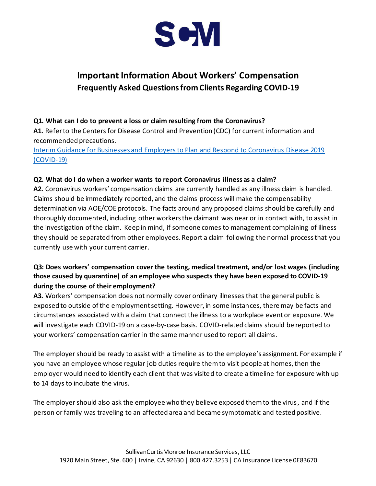

# **Important Information About Workers' Compensation Frequently Asked Questions from Clients Regarding COVID-19**

### **Q1. What can I do to prevent a loss or claim resulting from the Coronavirus?**

**A1.** Refer to the Centers for Disease Control and Prevention (CDC) for current information and recommended precautions.

[Interim Guidance for Businesses and Employers to Plan and Respond to Coronavirus Disease 2019](https://www.cdc.gov/coronavirus/2019-ncov/community/guidance-business-response.html)  [\(COVID-19\)](https://www.cdc.gov/coronavirus/2019-ncov/community/guidance-business-response.html)

#### **Q2. What do I do when a worker wants to report Coronavirus illness as a claim?**

**A2.** Coronavirus workers' compensation claims are currently handled as any illness claim is handled. Claims should be immediately reported, and the claims process will make the compensability determination via AOE/COE protocols. The facts around any proposed claims should be carefully and thoroughly documented, including other workers the claimant was near or in contact with, to assist in the investigation of the claim. Keep in mind, if someone comes to management complaining of illness they should be separated from other employees. Report a claim following the normal process that you currently use with your current carrier.

## **Q3: Does workers' compensation cover the testing, medical treatment, and/or lost wages (including those caused by quarantine) of an employee who suspects they have been exposed to COVID-19 during the course of their employment?**

**A3.** Workers' compensation does not normally cover ordinary illnesses that the general public is exposed to outside of the employment setting. However, in some instances, there may be facts and circumstances associated with a claim that connect the illness to a workplace event or exposure. We will investigate each COVID-19 on a case-by-case basis. COVID-related claims should be reported to your workers' compensation carrier in the same manner used to report all claims.

The employer should be ready to assist with a timeline as to the employee's assignment. For example if you have an employee whose regular job duties require them to visit people at homes, then the employer would need to identify each client that was visited to create a timeline for exposure with up to 14 days to incubate the virus.

The employer should also ask the employee who they believe exposed them to the virus, and if the person or family was traveling to an affected area and became symptomatic and tested positive.